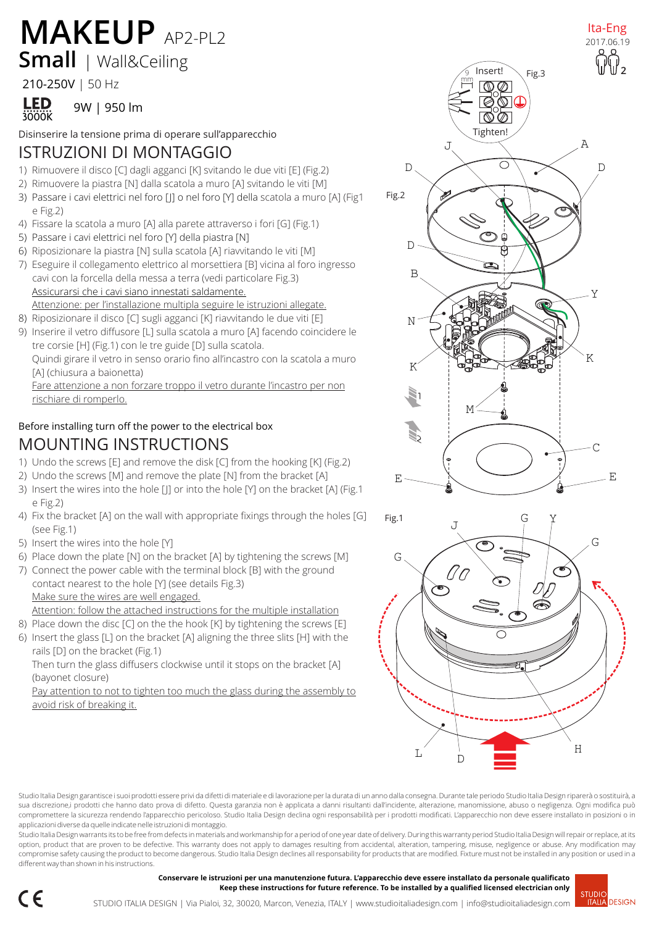## **Small** | Wall&Ceiling **MAKEUP** AP2-PL2 <sup>1ta-Eng</sup>

#### 210-250V | 50 Hz



Disinserire la tensione prima di operare sull'apparecchio

## ISTRUZIONI DI MONTAGGIO

- 1) Rimuovere il disco [C] dagli agganci [K] svitando le due viti [E] (Fig.2)
- 2) Rimuovere la piastra [N] dalla scatola a muro [A] svitando le viti [M]
- 3) Passare i cavi elettrici nel foro [J] o nel foro [Y] della scatola a muro [A] (Fig1 e Fig.2)
- 4) Fissare la scatola a muro [A] alla parete attraverso i fori [G] (Fig.1)
- 5) Passare i cavi elettrici nel foro [Y] della piastra [N]
- 6) Riposizionare la piastra [N] sulla scatola [A] riavvitando le viti [M]
- 7) Eseguire il collegamento elettrico al morsettiera [B] vicina al foro ingresso cavi con la forcella della messa a terra (vedi particolare Fig.3) Assicurarsi che i cavi siano innestati saldamente. Attenzione: per l'installazione multipla seguire le istruzioni allegate.

8) Riposizionare il disco [C] sugli agganci [K] riavvitando le due viti [E]

9) Inserire il vetro diffusore [L] sulla scatola a muro [A] facendo coincidere le tre corsie [H] (Fig.1) con le tre guide [D] sulla scatola.

Quindi girare il vetro in senso orario fino all'incastro con la scatola a muro [A] (chiusura a baionetta)

Fare attenzione a non forzare troppo il vetro durante l'incastro per non rischiare di romperlo.

### Before installing turn off the power to the electrical box MOUNTING INSTRUCTIONS

- 1) Undo the screws [E] and remove the disk [C] from the hooking [K] (Fig.2)
- 2) Undo the screws [M] and remove the plate [N] from the bracket [A]
- 3) Insert the wires into the hole [J] or into the hole [Y] on the bracket [A] (Fig.1 e Fig.2)
- 4) Fix the bracket [A] on the wall with appropriate fixings through the holes [G] (see Fig.1)
- 5) Insert the wires into the hole [Y]
- 6) Place down the plate [N] on the bracket [A] by tightening the screws [M]
- 7) Connect the power cable with the terminal block [B] with the ground contact nearest to the hole [Y] (see details Fig.3) Make sure the wires are well engaged. Attention: follow the attached instructions for the multiple installation
- 8) Place down the disc [C] on the the hook [K] by tightening the screws [E]
- 6) Insert the glass [L] on the bracket [A] aligning the three slits [H] with the rails [D] on the bracket (Fig.1)

Then turn the glass diffusers clockwise until it stops on the bracket [A] (bayonet closure)

Pay attention to not to tighten too much the glass during the assembly to avoid risk of breaking it.





Studio Italia Design garantisce i suoi prodotti essere privi da difetti di materiale e di lavorazione per la durata di un anno dalla consegna. Durante tale periodo Studio Italia Design riparerà o sostituirà, a sua discrezione,i prodotti che hanno dato prova di difetto. Questa garanzia non è applicata a danni risultanti dall'incidente, alterazione, manomissione, abuso o negligenza. Ogni modifica può compromettere la sicurezza rendendo l'apparecchio pericoloso. Studio Italia Design declina ogni responsabilità per i prodotti modificati. L'apparecchio non deve essere installato in posizioni o in applicazioni diverse da quelle indicate nelle istruzioni di montaggio.

Studio Italia Design warrants its to be free from defects in materials and workmanship for a period of one year date of delivery. During this warranty period Studio Italia Design will repair or replace, at its option, product that are proven to be defective. This warranty does not apply to damages resulting from accidental, alteration, tampering, misuse, negligence or abuse. Any modification may compromise safety causing the product to become dangerous. Studio Italia Design declines all responsability for products that are modified. Fixture must not be installed in any position or used in a different way than shown in his instructions.

> **Conservare le istruzioni per una manutenzione futura. L'apparecchio deve essere installato da personale qualificato Keep these instructions for future reference. To be installed by a qualified licensed electrician only**

Ita-Eng